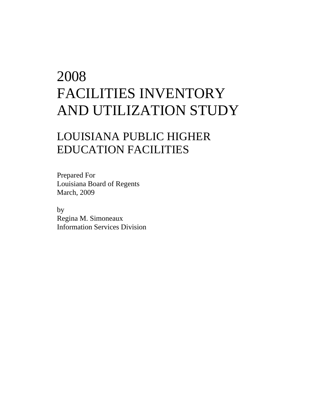## 2008 FACILITIES INVENTORY AND UTILIZATION STUDY

## LOUISIANA PUBLIC HIGHER EDUCATION FACILITIES

Prepared For Louisiana Board of Regents March, 2009

by Regina M. Simoneaux Information Services Division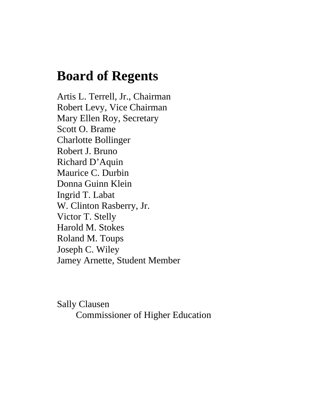## **Board of Regents**

Artis L. Terrell, Jr., Chairman Robert Levy, Vice Chairman Mary Ellen Roy, Secretary Scott O. Brame Charlotte Bollinger Robert J. Bruno Richard D'Aquin Maurice C. Durbin Donna Guinn Klein Ingrid T. Labat W. Clinton Rasberry, Jr. Victor T. Stelly Harold M. Stokes Roland M. Toups Joseph C. Wiley Jamey Arnette, Student Member

Sally Clausen Commissioner of Higher Education